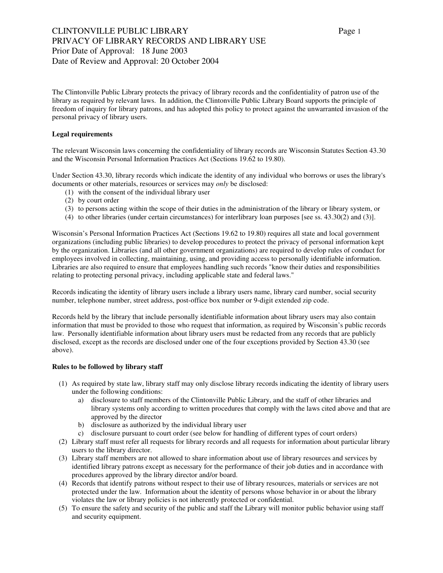# CLINTONVILLE PUBLIC LIBRARY Page 1 PRIVACY OF LIBRARY RECORDS AND LIBRARY USE Prior Date of Approval: 18 June 2003 Date of Review and Approval: 20 October 2004

The Clintonville Public Library protects the privacy of library records and the confidentiality of patron use of the library as required by relevant laws. In addition, the Clintonville Public Library Board supports the principle of freedom of inquiry for library patrons, and has adopted this policy to protect against the unwarranted invasion of the personal privacy of library users.

### **Legal requirements**

The relevant Wisconsin laws concerning the confidentiality of library records are Wisconsin Statutes Section 43.30 and the Wisconsin Personal Information Practices Act (Sections 19.62 to 19.80).

Under Section 43.30, library records which indicate the identity of any individual who borrows or uses the library's documents or other materials, resources or services may *only* be disclosed:

- (1) with the consent of the individual library user
- (2) by court order
- (3) to persons acting within the scope of their duties in the administration of the library or library system, or
- (4) to other libraries (under certain circumstances) for interlibrary loan purposes [see ss. 43.30(2) and (3)].

Wisconsin's Personal Information Practices Act (Sections 19.62 to 19.80) requires all state and local government organizations (including public libraries) to develop procedures to protect the privacy of personal information kept by the organization. Libraries (and all other government organizations) are required to develop rules of conduct for employees involved in collecting, maintaining, using, and providing access to personally identifiable information. Libraries are also required to ensure that employees handling such records "know their duties and responsibilities relating to protecting personal privacy, including applicable state and federal laws."

Records indicating the identity of library users include a library users name, library card number, social security number, telephone number, street address, post-office box number or 9-digit extended zip code.

Records held by the library that include personally identifiable information about library users may also contain information that must be provided to those who request that information, as required by Wisconsin's public records law. Personally identifiable information about library users must be redacted from any records that are publicly disclosed, except as the records are disclosed under one of the four exceptions provided by Section 43.30 (see above).

#### **Rules to be followed by library staff**

- (1) As required by state law, library staff may only disclose library records indicating the identity of library users under the following conditions:
	- a) disclosure to staff members of the Clintonville Public Library, and the staff of other libraries and library systems only according to written procedures that comply with the laws cited above and that are approved by the director
	- b) disclosure as authorized by the individual library user
	- c) disclosure pursuant to court order (see below for handling of different types of court orders)
- (2) Library staff must refer all requests for library records and all requests for information about particular library users to the library director.
- (3) Library staff members are not allowed to share information about use of library resources and services by identified library patrons except as necessary for the performance of their job duties and in accordance with procedures approved by the library director and/or board.
- (4) Records that identify patrons without respect to their use of library resources, materials or services are not protected under the law. Information about the identity of persons whose behavior in or about the library violates the law or library policies is not inherently protected or confidential.
- (5) To ensure the safety and security of the public and staff the Library will monitor public behavior using staff and security equipment.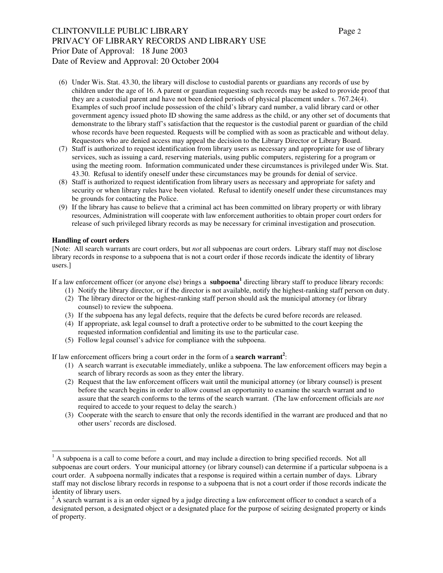## CLINTONVILLE PUBLIC LIBRARY Page 2 PRIVACY OF LIBRARY RECORDS AND LIBRARY USE Prior Date of Approval: 18 June 2003 Date of Review and Approval: 20 October 2004

- (6) Under Wis. Stat. 43.30, the library will disclose to custodial parents or guardians any records of use by children under the age of 16. A parent or guardian requesting such records may be asked to provide proof that they are a custodial parent and have not been denied periods of physical placement under s. 767.24(4). Examples of such proof include possession of the child's library card number, a valid library card or other government agency issued photo ID showing the same address as the child, or any other set of documents that demonstrate to the library staff's satisfaction that the requestor is the custodial parent or guardian of the child whose records have been requested. Requests will be complied with as soon as practicable and without delay. Requestors who are denied access may appeal the decision to the Library Director or Library Board.
- (7) Staff is authorized to request identification from library users as necessary and appropriate for use of library services, such as issuing a card, reserving materials, using public computers, registering for a program or using the meeting room. Information communicated under these circumstances is privileged under Wis. Stat. 43.30. Refusal to identify oneself under these circumstances may be grounds for denial of service.
- (8) Staff is authorized to request identification from library users as necessary and appropriate for safety and security or when library rules have been violated. Refusal to identify oneself under these circumstances may be grounds for contacting the Police.
- (9) If the library has cause to believe that a criminal act has been committed on library property or with library resources, Administration will cooperate with law enforcement authorities to obtain proper court orders for release of such privileged library records as may be necessary for criminal investigation and prosecution.

### **Handling of court orders**

j

[Note: All search warrants are court orders, but *not* all subpoenas are court orders. Library staff may not disclose library records in response to a subpoena that is not a court order if those records indicate the identity of library users.]

If a law enforcement officer (or anyone else) brings a **subpoena<sup>1</sup>** directing library staff to produce library records:

- (1) Notify the library director, or if the director is not available, notify the highest-ranking staff person on duty.
- (2) The library director or the highest-ranking staff person should ask the municipal attorney (or library counsel) to review the subpoena.
- (3) If the subpoena has any legal defects, require that the defects be cured before records are released.
- (4) If appropriate, ask legal counsel to draft a protective order to be submitted to the court keeping the requested information confidential and limiting its use to the particular case.
- (5) Follow legal counsel's advice for compliance with the subpoena.

If law enforcement officers bring a court order in the form of a **search warrant<sup>2</sup>** :

- (1) A search warrant is executable immediately, unlike a subpoena. The law enforcement officers may begin a search of library records as soon as they enter the library.
- (2) Request that the law enforcement officers wait until the municipal attorney (or library counsel) is present before the search begins in order to allow counsel an opportunity to examine the search warrant and to assure that the search conforms to the terms of the search warrant. (The law enforcement officials are *not* required to accede to your request to delay the search.)
- (3) Cooperate with the search to ensure that only the records identified in the warrant are produced and that no other users' records are disclosed.

 $<sup>1</sup>$  A subpoena is a call to come before a court, and may include a direction to bring specified records. Not all</sup> subpoenas are court orders. Your municipal attorney (or library counsel) can determine if a particular subpoena is a court order. A subpoena normally indicates that a response is required within a certain number of days. Library staff may not disclose library records in response to a subpoena that is not a court order if those records indicate the identity of library users.

 $2A$  search warrant is a is an order signed by a judge directing a law enforcement officer to conduct a search of a designated person, a designated object or a designated place for the purpose of seizing designated property or kinds of property.